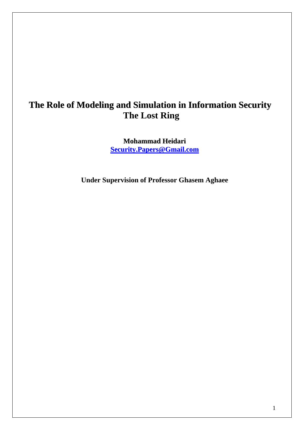# **The Role of Modeling and Simulation in Information Security The Lost Ring**

**Mohammad Heidari [Security.Papers@Gmail.com](mailto:Security.Papers@Gmail.com) ecurity.Papers@Gmail.com**

**Under Supervision of Professor Ghasem Aghaee** 

1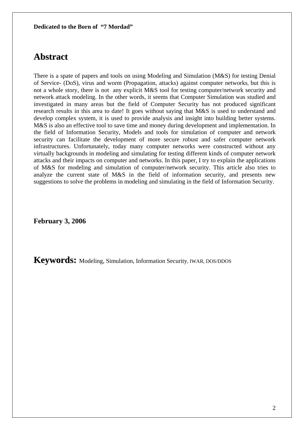## **Abstract**

There is a spate of papers and tools on using Modeling and Simulation (M&S) for testing Denial of Service- (DoS), virus and worm (Propagation, attacks) against computer networks, but this is not a whole story, there is not any explicit M&S tool for testing computer/network security and network attack modeling. In the other words, it seems that Computer Simulation was studied and investigated in many areas but the field of Computer Security has not produced significant research results in this area to date! It goes without saying that M&S is used to understand and develop complex system, it is used to provide analysis and insight into building better systems. M&S is also an effective tool to save time and money during development and implementation. In the field of Information Security, Models and tools for simulation of computer and network security can facilitate the development of more secure robust and safer computer network infrastructures. Unfortunately, today many computer networks were constructed without any virtually backgrounds in modeling and simulating for testing different kinds of computer network attacks and their impacts on computer and networks. In this paper, I try to explain the applications of M&S for modeling and simulation of computer/network security. This article also tries to analyze the current state of M&S in the field of information security, and presents new suggestions to solve the problems in modeling and simulating in the field of Information Security.

**February 3, 2006**

**Keywords:** Modeling, Simulation, Information Security, IWAR, DOS/DDOS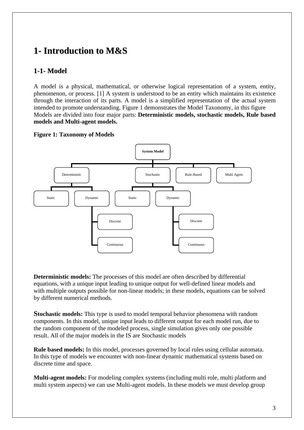# **1- Introduction to M&S**

## **1-1- Model**

A model is a physical, mathematical, or otherwise logical representation of a system, entity, phenomenon, or process. [1] A system is understood to be an entity which maintains its existence through the interaction of its parts. A model is a simplified representation of the actual system intended to promote understanding. Figure 1 demonstrates the Model Taxonomy, in this figure Models are divided into four major parts: **Deterministic models, stochastic models, Rule based models and Multi-agent models.** 

### **Figure 1: Taxonomy of Models**



**Deterministic models:** The processes of this model are often described by differential equations, with a unique input leading to unique output for well-defined linear models and with multiple outputs possible for non-linear models; in these models, equations can be solved by different numerical methods.

**Stochastic models:** This type is used to model temporal behavior phenomena with random components. In this model, unique input leads to different output for each model run, due to the random component of the modeled process, single simulation gives only one possible result. All of the major models in the IS are Stochastic models

**Rule based models:** In this model, processes governed by local rules using cellular automata. In this type of models we encounter with non-linear dynamic mathematical systems based on discrete time and space.

**Multi-agent models:** For modeling complex systems (including multi role, multi platform and multi system aspects) we can use Multi-agent models. In these models we must develop group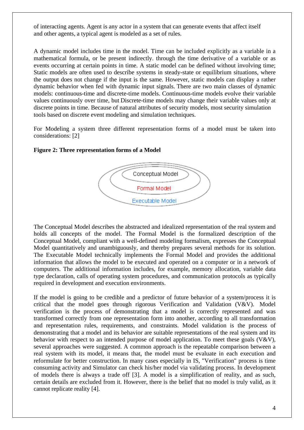of interacting agents. Agent is any actor in a system that can generate events that affect itself and other agents, a typical agent is modeled as a set of rules.

A dynamic model includes time in the model. Time can be included explicitly as a variable in a mathematical formula, or be present indirectly. through the time derivative of a variable or as events occurring at certain points in time. A static model can be defined without involving time; Static models are often used to describe systems in steady-state or equilibrium situations, where the output does not change if the input is the same. However, static models can display a rather dynamic behavior when fed with dynamic input signals. There are two main classes of dynamic models: continuous-time and discrete-time models. Continuous-time models evolve their variable values continuously over time, but Discrete-time models may change their variable values only at discrete points in time. Because of natural attributes of security models, most security simulation tools based on discrete event modeling and simulation techniques.

For Modeling a system three different representation forms of a model must be taken into considerations: [2]



#### **Figure 2: Three representation forms of a Model**

The Conceptual Model describes the abstracted and idealized representation of the real system and holds all concepts of the model. The Formal Model is the formalized description of the Conceptual Model, compliant with a well-defined modeling formalism, expresses the Conceptual Model quantitatively and unambiguously, and thereby prepares several methods for its solution. The Executable Model technically implements the Formal Model and provides the additional information that allows the model to be executed and operated on a computer or in a network of computers. The additional information includes, for example, memory allocation, variable data type declaration, calls of operating system procedures, and communication protocols as typically required in development and execution environments.

If the model is going to be credible and a predictor of future behavior of a system/process it is critical that the model goes through rigorous Verification and Validation (V&V). Model verification is the process of demonstrating that a model is correctly represented and was transformed correctly from one representation form into another, according to all transformation and representation rules, requirements, and constraints. Model validation is the process of demonstrating that a model and its behavior are suitable representations of the real system and its behavior with respect to an intended purpose of model application. To meet these goals (V&V), several approaches were suggested. A common approach is the repeatable comparison between a real system with its model, it means that, the model must be evaluate in each execution and reformulate for better construction. In many cases especially in IS, "Verification" process is time consuming activity and Simulator can check his/her model via validating process. In development of models there is always a trade off [3]. A model is a simplification of reality, and as such, certain details are excluded from it. However, there is the belief that no model is truly valid, as it cannot replicate reality [4].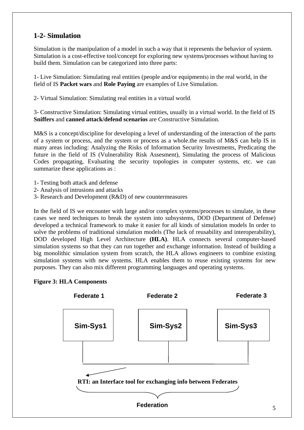## **1-2- Simulation**

Simulation is the manipulation of a model in such a way that it represents the behavior of system. Simulation is a cost-effective tool/concept for exploring new systems/processes without having to build them. Simulation can be categorized into three parts:

1- Live Simulation: Simulating real entities (people and/or equipments) in the real world, in the field of IS **Packet wars** and **Role Paying** are examples of Live Simulation.

2- Virtual Simulation: Simulating real entities in a virtual world.

3- Constructive Simulation: Simulating virtual entities, usually in a virtual world. In the field of IS **Sniffers** and **canned attack/defend scenarios** are Constructive Simulation.

M&S is a concept/discipline for developing a level of understanding of the interaction of the parts of a system or process, and the system or process as a whole.the results of M&S can help IS in many areas including: Analyzing the Risks of Information Security Investments, Predicating the future in the field of IS (Vulnerability Risk Assesment), Simulating the process of Malicious Codes propagating, Evaluating the security topologies in computer systems, etc. we can summarize these applications as :

- 1- Testing both attack and defense
- 2- Analysis of intrusions and attacks
- 3- Research and Development (R&D) of new countermeasures

In the field of IS we encounter with large and/or complex systems/processes to simulate, in these cases we need techniques to break the system into subsystems, DOD (Department of Defense) developed a technical framework to make it easier for all kinds of simulation models In order to solve the problems of traditional simulation models (The lack of reusability and interoperability), DOD developed High Level Architecture **(HLA)**. HLA connects several computer-based simulation systems so that they can run together and exchange information. Instead of building a big monolithic simulation system from scratch, the HLA allows engineers to combine existing simulation systems with new systems. HLA enables them to reuse existing systems for new purposes. They can also mix different programming languages and operating systems.

### **Figure 3: HLA Components**

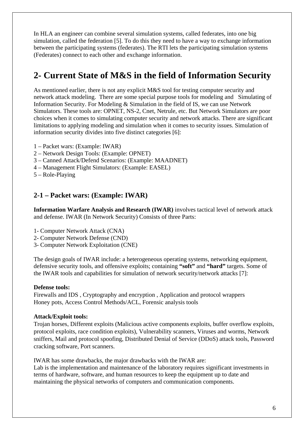In HLA an engineer can combine several simulation systems, called federates, into one big simulation, called the federation [5]. To do this they need to have a way to exchange information between the participating systems (federates). The RTI lets the participating simulation systems (Federates) connect to each other and exchange information.

# **2- Current State of M&S in the field of Information Security**

As mentioned earlier, there is not any explicit M&S tool for testing computer security and network attack modeling. There are some special purpose tools for modeling and Simulating of Information Security. For Modeling & Simulation in the field of IS, we can use Network Simulators. These tools are: OPNET, NS-2, Cnet, Netrule, etc. But Network Simulators are poor choices when it comes to simulating computer security and network attacks. There are significant limitations to applying modeling and simulation when it comes to security issues. Simulation of information security divides into five distinct categories [6]:

- 1 Packet wars: (Example: IWAR)
- 2 Network Design Tools: (Example: OPNET)
- 3 Canned Attack/Defend Scenarios: (Example: MAADNET)
- 4 Management Flight Simulators: (Example: EASEL)
- 5 Role-Playing

### **2-1 – Packet wars: (Example: IWAR)**

**Information Warfare Analysis and Research (IWAR)** involves tactical level of network attack and defense. IWAR (In Network Security) Consists of three Parts:

- 1- Computer Network Attack (CNA)
- 2- Computer Network Defense (CND)
- 3- Computer Network Exploitation (CNE)

The design goals of IWAR include: a heterogeneous operating systems, networking equipment, defensive security tools, and offensive exploits; containing **"soft"** and **"hard"** targets. Some of the IWAR tools and capabilities for simulation of network security/network attacks [7]:

#### **Defense tools:**

Firewalls and IDS , Cryptography and encryption , Application and protocol wrappers Honey pots, Access Control Methods/ACL, Forensic analysis tools

#### **Attack/Exploit tools:**

Trojan horses, Different exploits (Malicious active components exploits, buffer overflow exploits, protocol exploits, race condition exploits), Vulnerability scanners, Viruses and worms, Network sniffers, Mail and protocol spoofing, Distributed Denial of Service (DDoS) attack tools, Password cracking software, Port scanners.

IWAR has some drawbacks, the major drawbacks with the IWAR are: Lab is the implementation and maintenance of the laboratory requires significant investments in terms of hardware, software, and human resources to keep the equipment up to date and maintaining the physical networks of computers and communication components.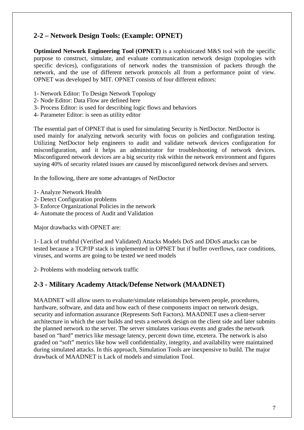## **2-2 – Network Design Tools: (Example: OPNET)**

**Optimized Network Engineering Tool (OPNET)** is a sophisticated M&S tool with the specific purpose to construct, simulate, and evaluate communication network design (topologies with specific devices), configurations of network nodes the transmission of packets through the network, and the use of different network protocols all from a performance point of view. OPNET was developed by MIT. OPNET consists of four different editors:

- 1- Network Editor: To Design Network Topology
- 2- Node Editor: Data Flow are defined here
- 3- Process Editor: is used for describing logic flows and behaviors
- 4- Parameter Editor: is seen as utility editor

The essential part of OPNET that is used for simulating Security is NetDoctor. NetDoctor is used mainly for analyzing network security with focus on policies and configuration testing. Utilizing NetDoctor help engineers to audit and validate network devices configuration for misconfiguration, and it helps an administrator for troubleshooting of network devices. Misconfigured network devices are a big security risk within the network environment and figures saying 40% of security related issues are caused by misconfigured network devises and servers.

In the following, there are some advantages of NetDoctor

- 1- Analyze Network Health
- 2- Detect Configuration problems
- 3- Enforce Organizational Policies in the network
- 4- Automate the process of Audit and Validation

Major drawbacks with OPNET are:

1- Lack of truthful (Verified and Validated) Attacks Models DoS and DDoS attacks can be tested because a TCP/IP stack is implemented in OPNET but if buffer overflows, race conditions, viruses, and worms are going to be tested we need models

2- Problems with modeling network traffic

## **2-3 - Military Academy Attack/Defense Network (MAADNET)**

MAADNET will allow users to evaluate/simulate relationships between people, procedures, hardware, software, and data and how each of these components impact on network design, security and information assurance (Represents Soft Factors). MAADNET uses a client-server architecture in which the user builds and tests a network design on the client side and later submits the planned network to the server. The server simulates various events and grades the network based on "hard" metrics like message latency, percent down time, etcetera. The network is also graded on "soft" metrics like how well confidentiality, integrity, and availability were maintained during simulated attacks. In this approach, Simulation Tools are inexpensive to build. The major drawback of MAADNET is Lack of models and simulation Tool.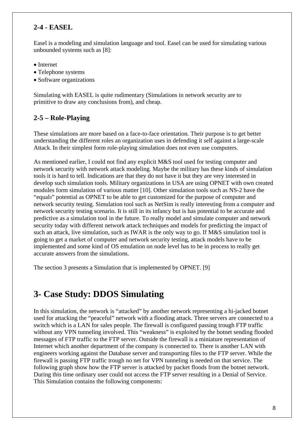## **2-4 - EASEL**

Easel is a modeling and simulation language and tool. Easel can be used for simulating various unbounded systems such as [8]:

- Internet
- Telephone systems
- Software organizations

Simulating with EASEL is quite rudimentary (Simulations in network security are to primitive to draw any conclusions from), and cheap.

### **2-5 – Role-Playing**

These simulations are more based on a face-to-face orientation. Their purpose is to get better understanding the different roles an organization uses in defending it self against a large-scale Attack. In their simplest form role-playing simulation does not even use computers.

As mentioned earlier, I could not find any explicit M&S tool used for testing computer and network security with network attack modeling. Maybe the military has these kinds of simulation tools it is hard to tell. Indications are that they do not have it but they are very interested in develop such simulation tools. Military organizations in USA are using OPNET with own created modules form simulation of various matter [10]. Other simulation tools such as NS-2 have the "equal9" potential as OPNET to be able to get customized for the purpose of computer and network security testing. Simulation tool such as NetSim is really interesting from a computer and network security testing scenario. It is still in its infancy but is has potential to be accurate and predictive as a simulation tool in the future. To really model and simulate computer and network security today with different network attack techniques and models for predicting the impact of such an attack, live simulation, such as IWAR is the only way to go. If M&S simulation tool is going to get a market of computer and network security testing, attack models have to be implemented and some kind of OS emulation on node level has to be in process to really get accurate answers from the simulations.

The section 3 presents a Simulation that is implemented by OPNET. [9]

## **3- Case Study: DDOS Simulating**

In this simulation, the network is "attacked" by another network representing a hi-jacked botnet used for attacking the "peaceful" network with a flooding attack. Three servers are connected to a switch which is a LAN for sales people. The firewall is configured passing trough FTP traffic without any VPN tunneling involved. This "weakness" is exploited by the botnet sending flooded messages of FTP traffic to the FTP server. Outside the firewall is a miniature representation of Internet which another department of the company is connected to. There is another LAN with engineers working against the Database server and transporting files to the FTP server. While the firewall is passing FTP traffic trough no net for VPN tunneling is needed on that service. The following graph show how the FTP server is attacked by packet floods from the botnet network. During this time ordinary user could not access the FTP server resulting in a Denial of Service. This Simulation contains the following components: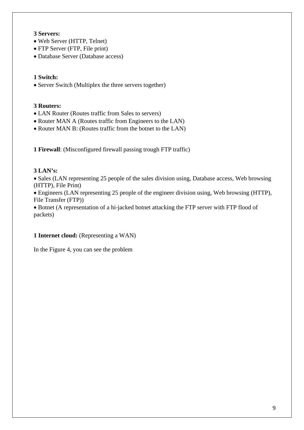### **3 Servers:**

- Web Server (HTTP, Telnet)
- FTP Server (FTP, File print)
- Database Server (Database access)

### **1 Switch:**

• Server Switch (Multiplex the three servers together)

### **3 Routers:**

- LAN Router (Routes traffic from Sales to servers)
- Router MAN A (Routes traffic from Engineers to the LAN)
- Router MAN B: (Routes traffic from the botnet to the LAN)

**1 Firewall**: (Misconfigured firewall passing trough FTP traffic)

### **3 LAN's:**

• Sales (LAN representing 25 people of the sales division using, Database access, Web browsing (HTTP), File Print)

• Engineers (LAN representing 25 people of the engineer division using, Web browsing (HTTP), File Transfer (FTP))

• Botnet (A representation of a hi-jacked botnet attacking the FTP server with FTP flood of packets)

### **1 Internet cloud:** (Representing a WAN)

In the Figure 4, you can see the problem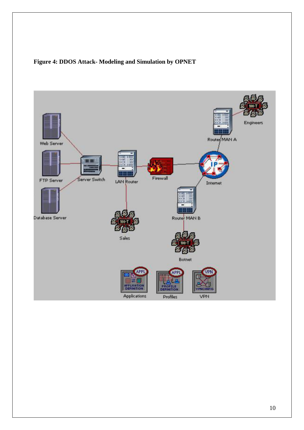## **Figure 4: DDOS Attack- Modeling and Simulation by OPNET**

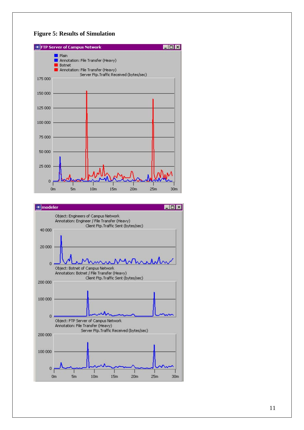



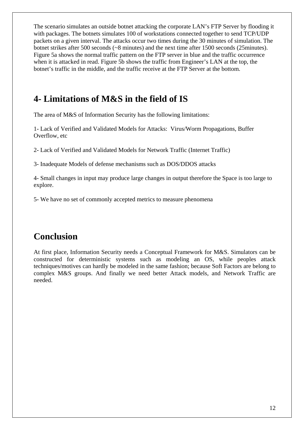The scenario simulates an outside botnet attacking the corporate LAN's FTP Server by flooding it with packages. The botnets simulates 100 of workstations connected together to send TCP/UDP packets on a given interval. The attacks occur two times during the 30 minutes of simulation. The botnet strikes after 500 seconds (~8 minutes) and the next time after 1500 seconds (25minutes). Figure 5a shows the normal traffic pattern on the FTP server in blue and the traffic occurrence when it is attacked in read. Figure 5b shows the traffic from Engineer's LAN at the top, the botnet's traffic in the middle, and the traffic receive at the FTP Server at the bottom.

# **4- Limitations of M&S in the field of IS**

The area of M&S of Information Security has the following limitations:

1- Lack of Verified and Validated Models for Attacks: Virus/Worm Propagations, Buffer Overflow, etc

2- Lack of Verified and Validated Models for Network Traffic (Internet Traffic)

3- Inadequate Models of defense mechanisms such as DOS/DDOS attacks

4- Small changes in input may produce large changes in output therefore the Space is too large to explore.

5- We have no set of commonly accepted metrics to measure phenomena

# **Conclusion**

At first place, Information Security needs a Conceptual Framework for M&S. Simulators can be constructed for deterministic systems such as modeling an OS, while peoples attack techniques/motives can hardly be modeled in the same fashion; because Soft Factors are belong to complex M&S groups. And finally we need better Attack models, and Network Traffic are needed.